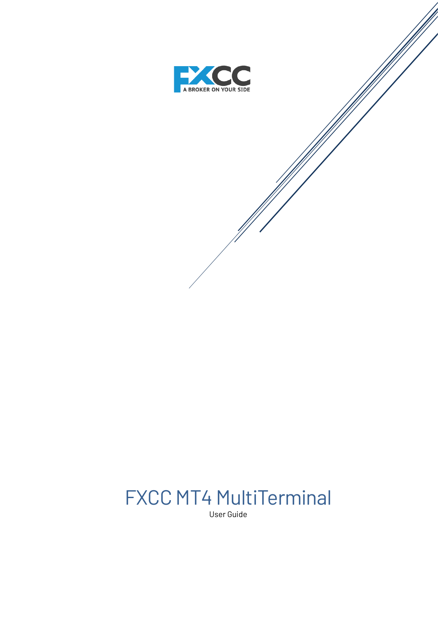

# FXCC MT4 MultiTerminal

User Guide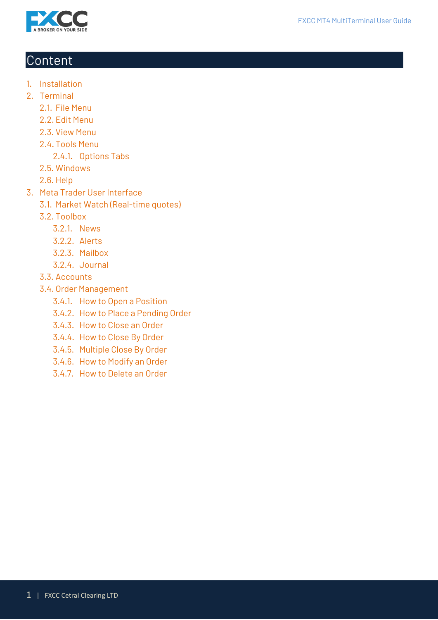



# Content

- 1. Installation
- 2. Terminal
	- 2.1. File Menu
	- 2.2. Edit Menu
	- 2.3. View Menu
	- 2.4. Tools Menu
		- 2.4.1. Options Tabs
	- 2.5. Windows
	- 2.6. Help
- 3. Meta Trader User Interface
	- 3.1. Market Watch (Real-time quotes)
	- 3.2. Toolbox
		- 3.2.1. News
		- 3.2.2. Alerts
		- 3.2.3. Mailbox
		- 3.2.4. Journal
	- 3.3. Accounts
	- 3.4. Order Management
		- 3.4.1. How to Open a Position
		- 3.4.2. How to Place a Pending Order
		- 3.4.3. How to Close an Order
		- 3.4.4. How to Close By Order
		- 3.4.5. Multiple Close By Order
		- 3.4.6. How to Modify an Order
		- 3.4.7. How to Delete an Order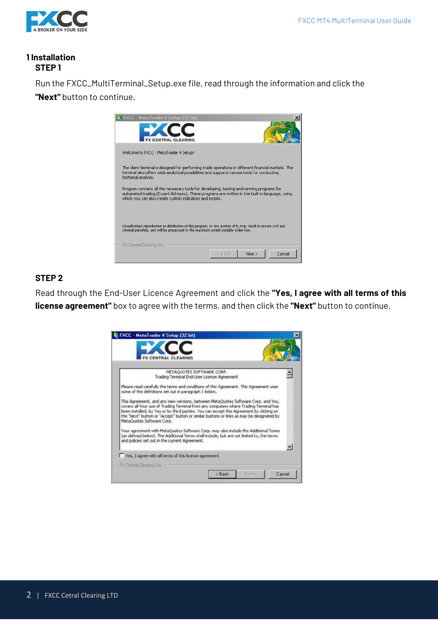

# **1 Installation STEP 1**

Run the FXCC\_MultiTerminal\_Setup.exe file, read through the information and click the **"Next"** button to continue.



# **STEP 2**

Read through the End-User Licence Agreement and click the **"Yes, I agree with all terms of this license agreement"** box to agree with the terms, and then click the **"Next"** button to continue.

| <b>FXCC - MetaTrader 4 Setup [32 bit]</b>                                                                                                                                                                                                                                                                                                                                                      |        |
|------------------------------------------------------------------------------------------------------------------------------------------------------------------------------------------------------------------------------------------------------------------------------------------------------------------------------------------------------------------------------------------------|--------|
| <b>ENTRAL CLEARING</b>                                                                                                                                                                                                                                                                                                                                                                         |        |
| METAQUOTES SOFTWARE CORP.<br>Trading Terminal End-User License Agreement                                                                                                                                                                                                                                                                                                                       |        |
| Please read carefully the terms and conditions of this Agreement. This Agreement uses<br>some of the definitions set out in paragraph 1 below.                                                                                                                                                                                                                                                 |        |
| This Agreement, and any new versions, between MetaQuotes Software Corp. and You,<br>covers all Your use of Trading Terminal from any computers where Trading Terminal has<br>been installed, by You or by third parties. You can accept this Agreement by clicking on<br>the "Next" button or "Accept" button or similar buttons or links as may be designated by<br>MetaOuotes Software Corp. |        |
| Your agreement with MetaQuotes Software Corp. may also include the Additional Terms<br>(as defined below). The Additional Terms shall include, but are not limited to, the terms<br>and policies set out in the current Agreement.                                                                                                                                                             |        |
| Yes, I agree with all terms of this license agreement                                                                                                                                                                                                                                                                                                                                          |        |
| FX Central Clearing Ltd.<br><back<br>Newto:</back<br>                                                                                                                                                                                                                                                                                                                                          | Cancel |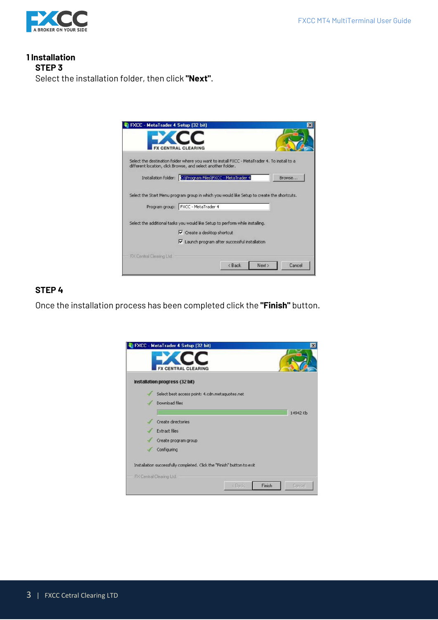

**1 Installation STEP 3**  Select the installation folder, then click **"Next"**.



#### **STEP 4**

Once the installation process has been completed click the **"Finish"** button.

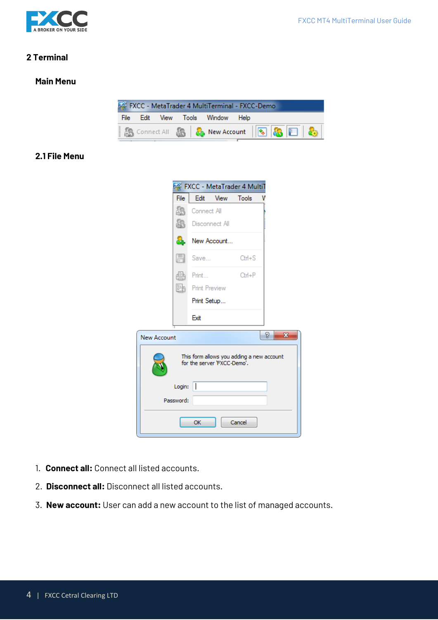

# **2 Terminal**

#### **Main Menu**



# **2.1 File Menu**

|                    | FXCC - MetaTrader 4 MultiT                                               |                      |              |                   |
|--------------------|--------------------------------------------------------------------------|----------------------|--------------|-------------------|
| File               |                                                                          | Edit View            | <b>Tools</b> |                   |
|                    | Connect All                                                              |                      |              |                   |
|                    |                                                                          | Disconnect All       |              |                   |
|                    | ö.                                                                       | New Account          |              |                   |
| H                  | Save                                                                     |                      | $Cth + S$    |                   |
|                    | Print                                                                    |                      | $Cth + P$    |                   |
| 韩国                 |                                                                          | <b>Print Preview</b> |              |                   |
|                    |                                                                          | Print Setup          |              |                   |
|                    | Exit                                                                     |                      |              |                   |
| <b>New Account</b> |                                                                          |                      |              | P<br>$\mathbf{x}$ |
|                    | This form allows you adding a new account<br>for the server 'FXCC-Demo'. |                      |              |                   |
| Login:             |                                                                          |                      |              |                   |
| Password:          |                                                                          |                      |              |                   |
|                    | OK                                                                       |                      | Cancel       |                   |

- 1. **Connect all:** Connect all listed accounts.
- 2. **Disconnect all:** Disconnect all listed accounts.
- 3. **New account:** User can add a new account to the list of managed accounts.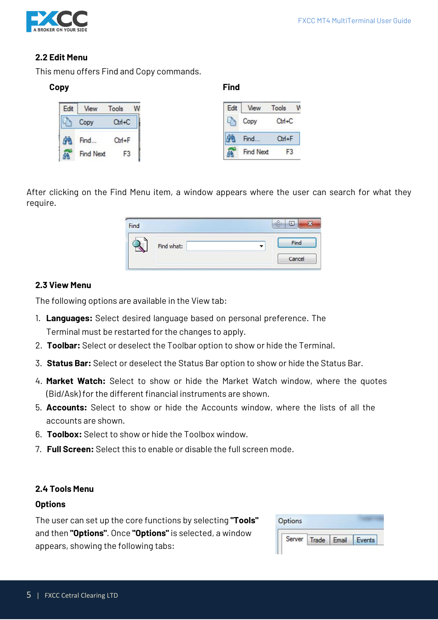

# **2.2 Edit Menu**

This menu offers Find and Copy commands.

#### **Copy Find**

| Edit | AW               | Tools |  |
|------|------------------|-------|--|
|      | opy              | О     |  |
|      | Find             | Ctd+F |  |
|      | <b>Find Next</b> |       |  |

| Edit | View      | Tools      |  |
|------|-----------|------------|--|
|      | Copy      | $Ctrl + C$ |  |
|      | Find      | о          |  |
|      | Find Next |            |  |

After clicking on the Find Menu item, a window appears where the user can search for what they require.



# **2.3 View Menu**

The following options are available in the View tab:

- 1. **Languages:** Select desired language based on personal preference. The Terminal must be restarted for the changes to apply.
- 2. **Toolbar:** Select or deselect the Toolbar option to show or hide the Terminal.
- 3. **Status Bar:** Select or deselect the Status Bar option to show or hide the Status Bar.
- 4. **Market Watch:** Select to show or hide the Market Watch window, where the quotes (Bid/Ask) for the different financial instruments are shown.
- 5. **Accounts:** Select to show or hide the Accounts window, where the lists of all the accounts are shown.
- 6. **Toolbox:** Select to show or hide the Toolbox window.
- 7. **Full Screen:** Select this to enable or disable the full screen mode.

# **2.4 Tools Menu**

#### **Options**

The user can set up the core functions by selecting **"Tools"** and then **"Options"**. Once **"Options"** is selected, a window appears, showing the following tabs:

| Options |              |       |  |
|---------|--------------|-------|--|
|         | Server Trade | Email |  |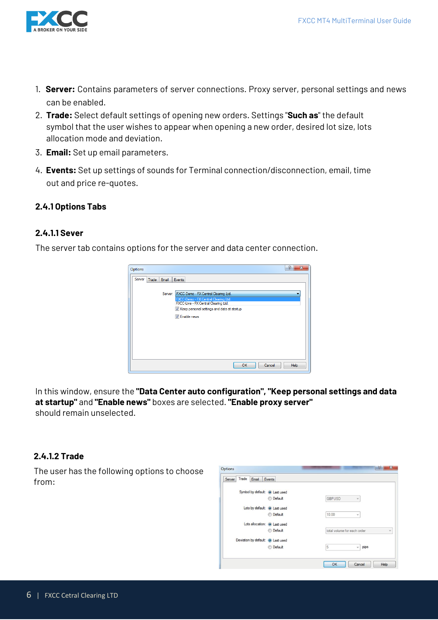

- 1. **Server:** Contains parameters of server connections. Proxy server, personal settings and news can be enabled.
- 2. **Trade:** Select default settings of opening new orders. Settings "**Such as**" the default symbol that the user wishes to appear when opening a new order, desired lot size, lots allocation mode and deviation.
- 3. **Email:** Set up email parameters.
- 4. **Events:** Set up settings of sounds for Terminal connection/disconnection, email, time out and price re-quotes.

# **2.4.1 Options Tabs**

#### **2.4.1.1 Sever**

The server tab contains options for the server and data center connection.



In this window, ensure the **"Data Center auto configuration", "Keep personal settings and data at startup"** and **"Enable news"** boxes are selected. **"Enable proxy server"** should remain unselected.

#### **2.4.1.2 Trade**

The user has the following options to choose from:

| Trade<br>Email<br>Events<br>Server |                             |
|------------------------------------|-----------------------------|
| Symbol by default: @ Last used     |                             |
| <b>Default</b>                     | <b>GBPUSD</b><br>÷          |
| Lots by default: @ Last used       |                             |
| <b>Default</b>                     | 10.00<br>v                  |
| Lots allocation: (a) Last used     |                             |
| <b>Default</b>                     | total volume for each order |
| Deviation by default: @ Last used  |                             |
|                                    | 5<br>pips<br>v              |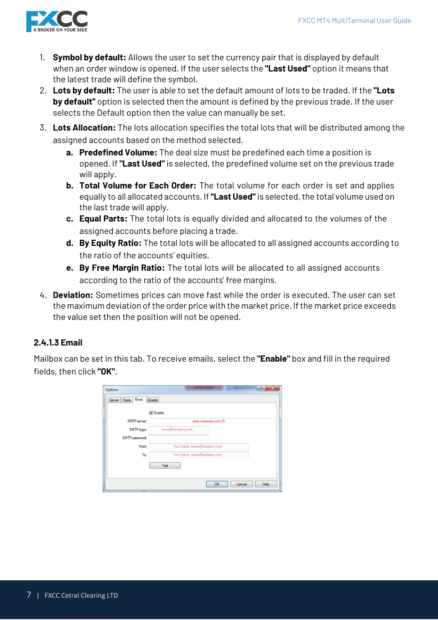

- 1. **Symbol by default:** Allows the user to set the currency pair that is displayed by default when an order window is opened. If the user selects the **"Last Used"** option it means that the latest trade will define the symbol.
- 2. **Lots by default:** The user is able to set the default amount of lots to be traded. If the **"Lots by default"** option is selected then the amount is defined by the previous trade. If the user selects the Default option then the value can manually be set.
- 3. **Lots Allocation:** The lots allocation specifies the total lots that will be distributed among the assigned accounts based on the method selected.
	- **a. Predefined Volume:** The deal size must be predefined each time a position is opened. If **"Last Used"** is selected, the predefined volume set on the previous trade will apply.
	- **b. Total Volume for Each Order:** The total volume for each order is set and applies equally to all allocated accounts. If **"Last Used"**is selected, the total volume used on the last trade will apply.
	- **c. Equal Parts:** The total lots is equally divided and allocated to the volumes of the assigned accounts before placing a trade.
	- **d. By Equity Ratio:** The total lots will be allocated to all assigned accounts according to the ratio of the accounts' equities.
	- **e. By Free Margin Ratio:** The total lots will be allocated to all assigned accounts according to the ratio of the accounts' free margins.
- 4. **Deviation:** Sometimes prices can move fast while the order is executed. The user can set the maximum deviation of the order price with the market price. If the market price exceeds the value set then the position will not be opened.

# **2.4.1.3 Email**

Mailbox can be set in this tab. To receive emails, select the **"Enable"** box and fill in the required fields, then click **"OK"**.

|                | $\sqrt{}$ Enable            |  |
|----------------|-----------------------------|--|
| SMTP server:   | smtp.company.com:25         |  |
| SMTP login:    | name@company.com            |  |
| SMTP password: |                             |  |
| From:          | Your Name, name@company.com |  |
| To:            | Your Name, name@company.com |  |
|                | Test                        |  |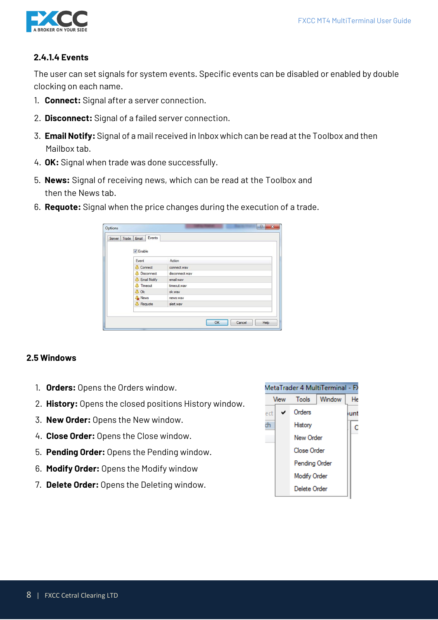

# **2.4.1.4 Events**

The user can set signals for system events. Specific events can be disabled or enabled by double clocking on each name.

- 1. **Connect:** Signal after a server connection.
- 2. **Disconnect:** Signal of a failed server connection.
- 3. **Email Notify:** Signal of a mail received in Inbox which can be read at the Toolbox and then Mailbox tab.
- 4. **OK:** Signal when trade was done successfully.
- 5. **News:** Signal of receiving news, which can be read at the Toolbox and then the News tab.
- 6. **Requote:** Signal when the price changes during the execution of a trade.

| Server Trade Email | Events                    |                |
|--------------------|---------------------------|----------------|
|                    | V Enable                  |                |
|                    | Event                     | Action         |
|                    | <b>A</b> Connect          | connect.wav    |
|                    | <b>A</b> Disconnect       | disconnect.wav |
|                    | <sup>4</sup> Email Notify | email.wav      |
|                    | <b>A</b> Timeout          | timeout.wav    |
|                    | A Ok                      | ok.way         |
|                    | News                      | news.wav       |
|                    | <b>A</b> Requote          | alert.wav      |
|                    |                           |                |

#### **2.5 Windows**

- 1. **Orders:** Opens the Orders window.
- 2. **History:** Opens the closed positions History window.
- 3. **New Order:** Opens the New window.
- 4. **Close Order:** Opens the Close window.
- 5. **Pending Order:** Opens the Pending window.
- 6. **Modify Order:** Opens the Modify window
- 7. **Delete Order:** Opens the Deleting window.

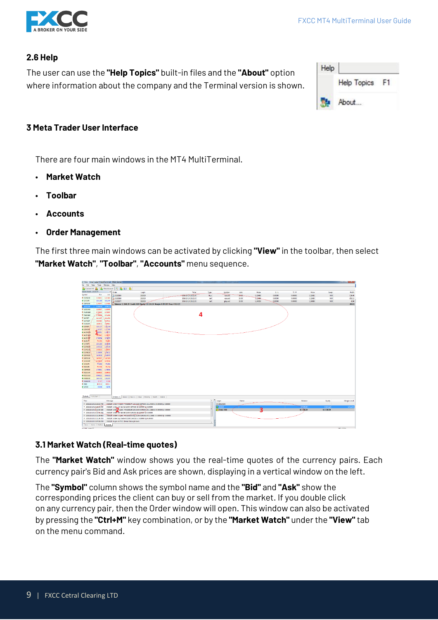

# **2.6 Help**

The user can use the **"Help Topics"** built-in files and the **"About"** option where information about the company and the Terminal version is shown.

| Help |                    |  |
|------|--------------------|--|
|      | <b>Help Topics</b> |  |
|      | About              |  |

# **3 Meta Trader User Interface**

There are four main windows in the MT4 MultiTerminal.

- **Market Watch**
- **Toolbar**
- **Accounts**
- **Order Management**

The first three main windows can be activated by clicking **"View"** in the toolbar, then select **"Market Watch"**, **"Toolbar"**, **"Accounts"** menu sequence.

| FRICC - MetaTrader 4 MaltiTerminal - FXCC-Demo                                    |                                                                                      |                     |                  |                  |       |         |         |           |              |           | $-1$ . The set of $\mathcal{X}$ |
|-----------------------------------------------------------------------------------|--------------------------------------------------------------------------------------|---------------------|------------------|------------------|-------|---------|---------|-----------|--------------|-----------|---------------------------------|
| Se Edit<br>View Tools Window Help                                                 |                                                                                      |                     |                  |                  |       |         |         |           |              |           |                                 |
| S Connect All S & New Account   G   S   L   S                                     |                                                                                      |                     |                  |                  |       |         |         |           |              |           |                                 |
| fariist Watch: 13:22:57<br>I <sup>M</sup> Order                                   | Login                                                                                | Time                | Type             | Symbol           | Lots  | Price   | S/L     | T/P       | <b>Price</b> | Swep      | Profit                          |
| Symbel<br>Ask<br>Bid                                                              | 2 23283165<br>392020                                                                 | 2016 10:10 13:21:30 | buy              | curusd           | 10:00 | 1.11568 | 0.00000 | 0.00000   | 1.11581      | 0.00      | 116.40                          |
| <b>+ EURUSD</b><br>1,11681<br>1,11683                                             | 12 23283169<br>392020                                                                | 2016/10/10 13:21:33 | sell             | earupd           | 10.00 | 111866  | 0.00000 | 0.00000   | 1.11883      | 0.00      | $-152.22$                       |
| <b>A USDIN</b><br>103,289<br>103.294                                              | 392020<br>23283177                                                                   | 2016/10/10 13:22:15 | sell             | gbpusd           | 10.00 | 1.24059 | 0.00000 | 0.00000   | 1.24060      | 0.00      | $-4.96$                         |
| 1,24047<br><b>+ CBFUSD</b><br>1,24060                                             | + Balance: 11 168.20 Credit: 0.00 Equity: 11 118.19 Margin: 6 203.97 Free: 4 914.22  |                     |                  |                  |       |         |         |           |              |           | $-50.01$                        |
| 0.50005<br>0.9901<br><b>O</b> USDONE                                              |                                                                                      |                     |                  |                  |       |         |         |           |              |           |                                 |
| · USDCAD<br>1.32597<br>1,33605                                                    |                                                                                      |                     |                  |                  |       |         |         |           |              |           |                                 |
| <b>+ AUDUID</b><br>0.75500<br>0.75007                                             |                                                                                      |                     |                  |                  |       |         |         |           |              |           |                                 |
| $-0.71398$<br><b>+ NZDUSD</b><br>0.71366                                          |                                                                                      | Δ                   |                  |                  |       |         |         |           |              |           |                                 |
| 115.363<br><b>+ LUILIFIT</b><br>115,354                                           |                                                                                      |                     |                  |                  |       |         |         |           |              |           |                                 |
| 0.80019<br>9.90033<br><b>+ tuzcar</b>                                             |                                                                                      |                     |                  |                  |       |         |         |           |              |           |                                 |
| <b>+ EURCHE</b><br>1,09455<br>129463                                              |                                                                                      |                     |                  |                  |       |         |         |           |              |           |                                 |
| 135.127<br>126.144<br>$ GBP$                                                      |                                                                                      |                     |                  |                  |       |         |         |           |              |           |                                 |
| 1.21595<br>1.21577<br><b>O</b> GRECH                                              |                                                                                      |                     |                  |                  |       |         |         |           |              |           |                                 |
| 16361<br>1.06372<br><b>CENUDA &amp;</b>                                           |                                                                                      |                     |                  |                  |       |         |         |           |              |           |                                 |
| 170642<br>1.00655<br><b>CAUDCAD</b>                                               |                                                                                      |                     |                  |                  |       |         |         |           |              |           |                                 |
| <b>AUDORF</b><br>0.74384<br>0.74899                                               |                                                                                      |                     |                  |                  |       |         |         |           |              |           |                                 |
| <b>O AUDIT</b><br>78,396<br>70,405                                                |                                                                                      |                     |                  |                  |       |         |         |           |              |           |                                 |
| 105098<br><b>&amp; CHEIRN</b><br>105,393                                          |                                                                                      |                     |                  |                  |       |         |         |           |              |           |                                 |
| 14/144<br><b>e</b> cussub<br>1,47132                                              |                                                                                      |                     |                  |                  |       |         |         |           |              |           |                                 |
| 1.40095<br><b>+ EURCAD</b><br>1,40035                                             |                                                                                      |                     |                  |                  |       |         |         |           |              |           |                                 |
| 13694<br>1,56512<br><b>O EURNED</b>                                               |                                                                                      |                     |                  |                  |       |         |         |           |              |           |                                 |
| <b>&amp; GBRAUD</b><br>1.63426<br>1.63449                                         |                                                                                      |                     |                  |                  |       |         |         |           |              |           |                                 |
| <b>O GEFCAD</b><br>1,64487<br>184504                                              |                                                                                      |                     |                  |                  |       |         |         |           |              |           |                                 |
| 0.73918<br><b>O CADCHE</b><br>0.79004                                             |                                                                                      |                     |                  |                  |       |         |         |           |              |           |                                 |
| 77.892<br>77.501<br><b>O CADJIV</b>                                               |                                                                                      |                     |                  |                  |       |         |         |           |              |           |                                 |
| <b>+ NZDJPY</b><br>73,705<br>73.714<br><b>&amp; GBFNZD</b><br>1,73831             |                                                                                      |                     |                  |                  |       |         |         |           |              |           |                                 |
| 1,73853                                                                           |                                                                                      |                     |                  |                  |       |         |         |           |              |           |                                 |
| <b>+ NZDOIF</b><br>ECODAO<br>0.69940<br><b>&amp; NZDCAD</b><br>0.84621<br>0.94633 |                                                                                      |                     |                  |                  |       |         |         |           |              |           |                                 |
| <b>A XAUUSD</b><br>1252.65<br>1202.87                                             |                                                                                      |                     |                  |                  |       |         |         |           |              |           |                                 |
| <b>+ XAGUSD</b><br>17.77<br>17.80                                                 |                                                                                      |                     |                  |                  |       |         |         |           |              |           |                                 |
| $+ 800$<br>4881.5<br>4378.6                                                       |                                                                                      |                     |                  |                  |       |         |         |           |              |           |                                 |
| 4.999<br>18794<br>18296                                                           |                                                                                      |                     |                  |                  |       |         |         |           |              |           |                                 |
|                                                                                   |                                                                                      |                     |                  |                  |       |         |         |           |              |           |                                 |
|                                                                                   |                                                                                      |                     |                  |                  |       |         |         |           |              |           |                                 |
| Symbols Tick Chart                                                                |                                                                                      |                     |                  |                  |       |         |         |           |              |           |                                 |
|                                                                                   | Ordens 3 History   News   Close   Pending   Modify   Delete                          |                     | $x$ <sup>x</sup> |                  |       |         |         |           |              |           |                                 |
| <b>Time</b><br>Message                                                            |                                                                                      |                     |                  | Login            | Name  |         |         | Rolance   |              | Equity    | Margin Level                    |
| 0.2015,10.1013,2215,749                                                           | 3940291 order is open: #25285177 sell.10.00 GBPUSD at 1.24059 st 0.00000 tp: 0.00000 |                     |                  | <b>最88129385</b> |       |         |         |           |              |           |                                 |
| 0 20161010132211540                                                               | 2020201: order_still market 20.00 GBPUSD at 0.00000 tp: 0.00000                      |                     |                  | <b>B</b> 392020  |       |         |         | 40 000 00 |              | 9 955 22  | 179.219                         |
| 0.20164040422233543                                                               | 2920201 order copen: #23283169 sell 10.00 EURUSD at 1.11666 st 0.00000 tp: 0.00000   |                     |                  | Total, USD       |       |         |         | 11168.20  |              | 11 118.19 |                                 |
| = 2016.10.10 13:21 33:212                                                         | 2020201 order self market 20.00 EURUSD at 0.00000 tp: 0.00000                        |                     |                  |                  |       |         |         |           |              |           |                                 |
| $= 20164040432128.913$                                                            | 1920201 onder to cover: *23283155 buy 10.00 EURUSD at 1.11668 st 0.00000 to: 0.00000 |                     |                  |                  |       |         |         |           |              |           |                                 |
| $= 2016.10.1013.21.28.713$                                                        | 1929291 order buy market 10.00 EURUSD st 6.00000 tp: 6.00000                         |                     |                  |                  |       |         |         |           |              |           |                                 |
| 0 2016 10:10 13:07:06:850                                                         | 19920201 login on FXCC-Demo through main                                             |                     |                  |                  |       |         |         |           |              |           |                                 |
| Nexs   Air is   Malbex   Journal                                                  |                                                                                      |                     |                  |                  |       |         |         |           |              |           |                                 |
| <b>13 series</b> which we                                                         |                                                                                      |                     |                  |                  |       |         |         |           |              |           | ARLINE.                         |

# **3.1 Market Watch (Real-time quotes)**

The **"Market Watch"** window shows you the real-time quotes of the currency pairs. Each currency pair's Bid and Ask prices are shown, displaying in a vertical window on the left.

The **"Symbol"** column shows the symbol name and the **"Bid"** and **"Ask"** show the corresponding prices the client can buy or sell from the market. If you double click on any currency pair, then the Order window will open. This window can also be activated by pressing the **"Ctrl+M"** key combination, or by the **"Market Watch"** under the **"View"** tab on the menu command.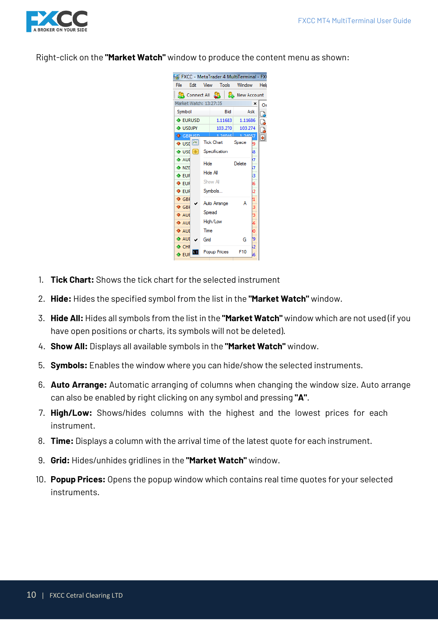

Right-click on the **"Market Watch"** window to produce the content menu as shown:



- 1. **Tick Chart:** Shows the tick chart for the selected instrument
- 2. **Hide:** Hides the specified symbol from the list in the **"Market Watch"** window.
- 3. **Hide All:** Hides all symbols from the list in the **"Market Watch"** window which are not used (if you have open positions or charts, its symbols will not be deleted).
- 4. **Show All:** Displays all available symbols in the **"Market Watch"** window.
- 5. **Symbols:** Enables the window where you can hide/show the selected instruments.
- 6. **Auto Arrange:** Automatic arranging of columns when changing the window size. Auto arrange can also be enabled by right clicking on any symbol and pressing **"A"**.
- 7. **High/Low:** Shows/hides columns with the highest and the lowest prices for each instrument.
- 8. **Time:** Displays a column with the arrival time of the latest quote for each instrument.
- 9. **Grid:** Hides/unhides gridlines in the **"Market Watch"** window.
- 10. **Popup Prices:** Opens the popup window which contains real time quotes for your selected instruments.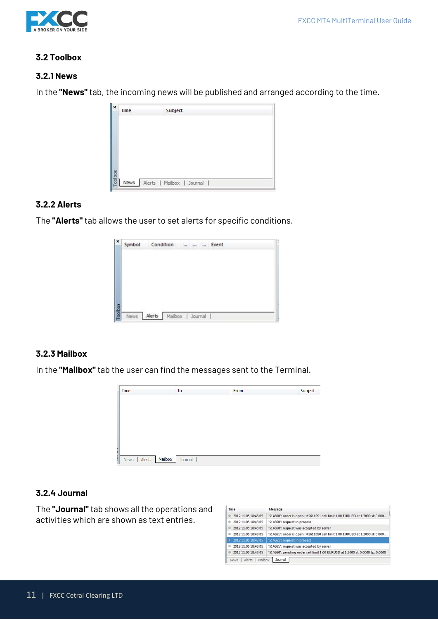

# **3.2 Toolbox**

#### **3.2.1 News**

In the **"News"** tab, the incoming news will be published and arranged according to the time.

| x       | Time | Subject                    |
|---------|------|----------------------------|
|         |      |                            |
|         |      |                            |
| Toolbox | News | Alerts   Mailbox   Journal |

#### **3.2.2 Alerts**

The **"Alerts"** tab allows the user to set alerts for specific conditions.



# **3.2.3 Mailbox**

In the **"Mailbox"** tab the user can find the messages sent to the Terminal.



#### **3.2.4 Journal**

The **"Journal"** tab shows all the operations and activities which are shown as text entries.

| Time                     | Message                                                                        |
|--------------------------|--------------------------------------------------------------------------------|
| 2012.11.05 18:43:05<br>ø | '514660': order is open: #2611091 sell limit 1.00 EURUSD at 1.3000 sl: 0.000   |
| 2012.11.05 18:43:05<br>ø | '514660': request in process                                                   |
| 2012.11.05 18:43:05<br>Ø | '514660': request was accepted by server                                       |
| 2012.11.05 18:43:05<br>ø | '514661': order is open: #2611090 sell limit 1.00 EURUSD at 1.3000 sl: 0.000   |
| 2012.11.05 18:43:05<br>٠ | '514661': request in process                                                   |
| 2012.11.05 18:43:05<br>ø | '514661': request was accepted by server                                       |
| 2012.11.05.18:43:05<br>ø | '514660': pending order sell limit 1.00 EURUSD at 1.3000 sl: 0.0000 tp: 0.0000 |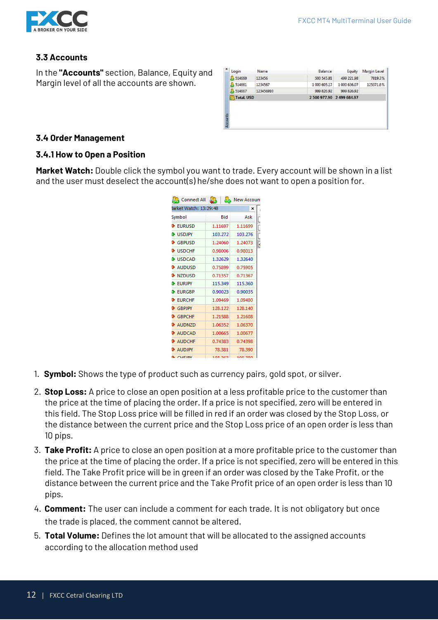

# **3.3 Accounts**

In the **"Accounts"** section, Balance, Equity and Margin level of all the accounts are shown.

| $\mathbf x$ | Login             | Name      | Balance                   | Equity       | <b>Margin Level</b> |
|-------------|-------------------|-----------|---------------------------|--------------|---------------------|
|             | 514660            | 123456    | 500 545.81                | 499 221.98   | 7819.3%             |
|             | 514661            | 1234567   | 1 000 605.17              | 1 000 636.07 | 125371.6%           |
|             | 514667            | 123456910 | 999 826.92                | 999 826.92   |                     |
|             | <b>Total, USD</b> |           | 2 500 977.90 2 499 684.97 |              |                     |
|             |                   |           |                           |              |                     |
|             |                   |           |                           |              |                     |
|             |                   |           |                           |              |                     |
| Accounts    |                   |           |                           |              |                     |
|             |                   |           |                           |              |                     |

#### **3.4 Order Management**

#### **3.4.1 How to Open a Position**

**Market Watch:** Double click the symbol you want to trade. Every account will be shown in a list and the user must deselect the account(s) he/she does not want to open a position for.

| <b>AR</b> Connect All        | ò.      | <b>New Accoun</b> |
|------------------------------|---------|-------------------|
| larket Watch: 13:29:48       |         | ×                 |
| Symbol                       | Bid     | Ask               |
| <b>EURUSD</b>                | 1.11697 | 1.11699           |
| <b>LISDJPY</b>               | 103.272 | 103.276           |
| <b>GBPUSD</b>                | 1.24060 | 1.24073<br>ŀ      |
| <b>USDCHE</b>                | 0.98006 | 0.98013           |
| <b>NUSDCAD</b>               | 1.32629 | 1.32640           |
| <b>AUDUSD</b>                | 0.75899 | 0.75905           |
| <b>D</b> NZDUSD              | 0.71357 | 0.71367           |
| <b>EURJPY</b>                | 115.349 | 115.360           |
| <b>EURGBP</b>                | 0.90023 | 0.90035           |
| <b>B</b> FURCHE              | 1.09469 | 1.09480           |
| GBPJPY                       | 128.122 | 128.140           |
| $\blacktriangleright$ GBPCHF | 1.21588 | 1.21608           |
| <b>AUDNZD</b>                | 1.06352 | 1.06370           |
| <b>AUDCAD</b>                | 1.00665 | 1.00677           |
| <b>AUDCHF</b>                | 0.74383 | 0.74398           |
| <b>AUDJPY</b>                | 78.381  | 78.390            |
| <b>CHEIDV</b>                | 105.363 | 105.29/           |

- 1. **Symbol:** Shows the type of product such as currency pairs, gold spot, or silver.
- 2. **Stop Loss:** A price to close an open position at a less profitable price to the customer than the price at the time of placing the order. If a price is not specified, zero will be entered in this field. The Stop Loss price will be filled in red if an order was closed by the Stop Loss, or the distance between the current price and the Stop Loss price of an open order is less than 10 pips.
- 3. **Take Profit:** A price to close an open position at a more profitable price to the customer than the price at the time of placing the order. If a price is not specified, zero will be entered in this field. The Take Profit price will be in green if an order was closed by the Take Profit, or the distance between the current price and the Take Profit price of an open order is less than 10 pips.
- 4. **Comment:** The user can include a comment for each trade. It is not obligatory but once the trade is placed, the comment cannot be altered.
- 5. **Total Volume:** Defines the lot amount that will be allocated to the assigned accounts according to the allocation method used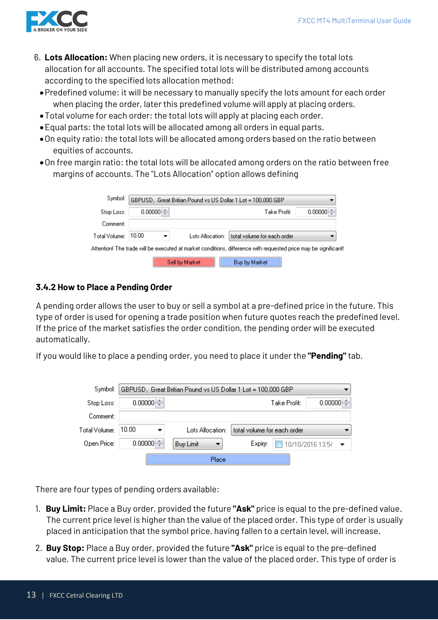

- 6. **Lots Allocation:** When placing new orders, it is necessary to specify the total lots allocation for all accounts. The specified total lots will be distributed among accounts according to the specified lots allocation method:
	- •Predefined volume: it will be necessary to manually specify the lots amount for each order when placing the order, later this predefined volume will apply at placing orders.
	- •Total volume for each order: the total lots will apply at placing each order.
	- •Equal parts: the total lots will be allocated among all orders in equal parts.
	- •On equity ratio: the total lots will be allocated among orders based on the ratio between equities of accounts.
	- •On free margin ratio: the total lots will be allocated among orders on the ratio between free margins of accounts. The "Lots Allocation" option allows defining

| Symbol:       |         |                  | GBPUSD, Great Britian Pound vs US Dollar 1 Lot = 100,000 GBP                                                    |         |
|---------------|---------|------------------|-----------------------------------------------------------------------------------------------------------------|---------|
| Stop Loss:    | 0.00000 |                  | Take Profit:                                                                                                    | 0.00000 |
| Comment:      |         |                  |                                                                                                                 |         |
| Total Volume: | 10.00   | Lots Allocation: | total volume for each order                                                                                     |         |
|               |         |                  | Attention! The trade will be executed at market conditions, difference with requested price may be significant! |         |
|               |         | Sell by Market   | Buy by Market                                                                                                   |         |

# **3.4.2 How to Place a Pending Order**

A pending order allows the user to buy or sell a symbol at a pre-defined price in the future. This type of order is used for opening a trade position when future quotes reach the predefined level. If the price of the market satisfies the order condition, the pending order will be executed automatically.

If you would like to place a pending order, you need to place it under the **"Pending"** tab.

| Symbol:       |         | GBPUSD, Great Britian Pound vs US Dollar 1 Lot = 100,000 GBP |                             |              |                  |
|---------------|---------|--------------------------------------------------------------|-----------------------------|--------------|------------------|
| Stop Loss:    | 0.00000 |                                                              |                             | Take Profit: | 0.00000          |
| Comment:      |         |                                                              |                             |              |                  |
| Total Volume: | 10.00   | Lots Allocation:                                             | total volume for each order |              |                  |
| Open Price:   | 0.00000 | Buy Limit                                                    | Expiry:                     |              | 10/10/2016 13:54 |
|               |         | Place                                                        |                             |              |                  |

There are four types of pending orders available:

- 1. **Buy Limit:** Place a Buy order, provided the future **"Ask"** price is equal to the pre-defined value. The current price level is higher than the value of the placed order. This type of order is usually placed in anticipation that the symbol price, having fallen to a certain level, will increase.
- 2. **Buy Stop:** Place a Buy order, provided the future **"Ask"** price is equal to the pre-defined value. The current price level is lower than the value of the placed order. This type of order is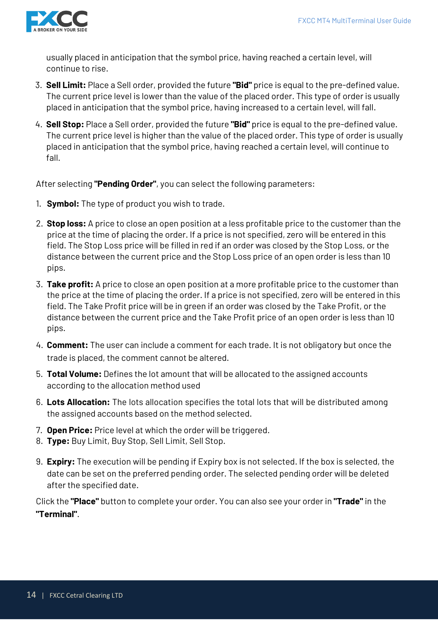

usually placed in anticipation that the symbol price, having reached a certain level, will continue to rise.

- 3. **Sell Limit:** Place a Sell order, provided the future **"Bid"** price is equal to the pre-defined value. The current price level is lower than the value of the placed order. This type of order is usually placed in anticipation that the symbol price, having increased to a certain level, will fall.
- 4. **Sell Stop:** Place a Sell order, provided the future **"Bid"** price is equal to the pre-defined value. The current price level is higher than the value of the placed order. This type of order is usually placed in anticipation that the symbol price, having reached a certain level, will continue to fall.

After selecting **"Pending Order"**, you can select the following parameters:

- 1. **Symbol:** The type of product you wish to trade.
- 2. **Stop loss:** A price to close an open position at a less profitable price to the customer than the price at the time of placing the order. If a price is not specified, zero will be entered in this field. The Stop Loss price will be filled in red if an order was closed by the Stop Loss, or the distance between the current price and the Stop Loss price of an open order is less than 10 pips.
- 3. **Take profit:** A price to close an open position at a more profitable price to the customer than the price at the time of placing the order. If a price is not specified, zero will be entered in this field. The Take Profit price will be in green if an order was closed by the Take Profit, or the distance between the current price and the Take Profit price of an open order is less than 10 pips.
- 4. **Comment:** The user can include a comment for each trade. It is not obligatory but once the trade is placed, the comment cannot be altered.
- 5. **Total Volume:** Defines the lot amount that will be allocated to the assigned accounts according to the allocation method used
- 6. **Lots Allocation:** The lots allocation specifies the total lots that will be distributed among the assigned accounts based on the method selected.
- 7. **Open Price:** Price level at which the order will be triggered.
- 8. **Type:** Buy Limit, Buy Stop, Sell Limit, Sell Stop.
- 9. **Expiry:** The execution will be pending if Expiry box is not selected. If the box is selected, the date can be set on the preferred pending order. The selected pending order will be deleted after the specified date.

Click the **"Place"** button to complete your order. You can also see your order in **"Trade"** in the **"Terminal"**.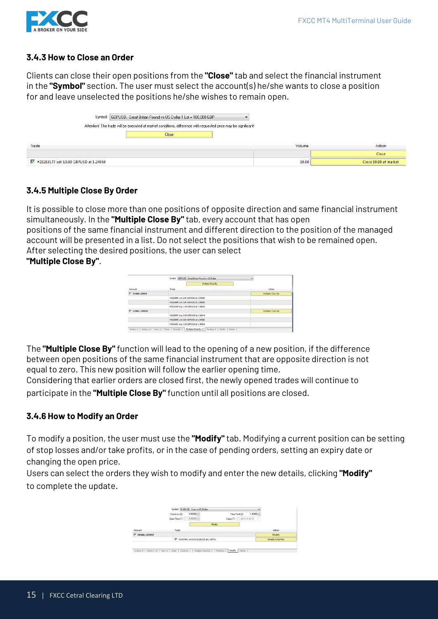

# **3.4.3 How to Close an Order**

Clients can close their open positions from the **"Close"** tab and select the financial instrument in the **"Symbol"** section. The user must select the account(s) he/she wants to close a position for and leave unselected the positions he/she wishes to remain open.

| Symbol:   GBPUSD, Great Britian Pound vs US Dollar 1 Lot = 100,000 GBP                                          |        |                       |
|-----------------------------------------------------------------------------------------------------------------|--------|-----------------------|
| Attention! The trade will be executed at market conditions, difference with requested price may be significant! |        |                       |
| Close                                                                                                           |        |                       |
| Trade                                                                                                           | Volume | Action                |
|                                                                                                                 |        | Close                 |
| #23283177 sell 10.00 GBPUSD at 1.24059                                                                          | 10.00  | Close 10.00 at market |

# **3.4.5 Multiple Close By Order**

It is possible to close more than one positions of opposite direction and same financial instrument simultaneously. In the **"Multiple Close By"** tab, every account that has open positions of the same financial instrument and different direction to the position of the managed account will be presented in a list. Do not select the positions that wish to be remained open. After selecting the desired positions, the user can select **"Multiple Close By"**.

|                              | Symbol GBPUSD, Great Britain Pound vs US Dollar.               | ۰                 |
|------------------------------|----------------------------------------------------------------|-------------------|
|                              | Multiple Class By                                              |                   |
| <b>STATISTICS</b><br>Account | Trade                                                          | Artion            |
| F 514660, 123456             | <b>MARKET</b><br>the an Art art around that full and interest- | Multiple Close By |
|                              | #2610996 sell 2.00 GBPUSD at 1.59605                           |                   |
|                              | #2610999 sell 3.00 GBPUSD at 1.59606                           |                   |
|                              | #2611000 buy 1.00 GBPUSD at 1.59641                            |                   |
| F 514661, 1234567            |                                                                | Multiple Close By |
|                              | #2610997 buy 3.00 GEPUSD at 1.59644                            |                   |
|                              | #2610998 sell 3.00 GEPUSD at 1.59606                           |                   |
|                              | #2611001 buy 1:00 G8PUSD at 1:59641                            |                   |

The **"Multiple Close By"** function will lead to the opening of a new position, if the difference between open positions of the same financial instrument that are opposite direction is not equal to zero. This new position will follow the earlier opening time.

Considering that earlier orders are closed first, the newly opened trades will continue to participate in the **"Multiple Close By"** function until all positions are closed.

#### **3.4.6 How to Modify an Order**

To modify a position, the user must use the **"Modify"** tab. Modifying a current position can be setting of stop losses and/or take profits, or in the case of pending orders, setting an expiry date or changing the open price.

Users can select the orders they wish to modify and enter the new details, clicking **"Modify"**  to complete the update.

|                   | Stop Loss <sup>V</sup> | 0.00000                                |        | $1.30000 - 0$<br>Take Profit V |                 |
|-------------------|------------------------|----------------------------------------|--------|--------------------------------|-----------------|
|                   | Open Price             | 0.0000014                              |        | Expiry 2012 11.0515 -          |                 |
|                   |                        |                                        | Modify |                                |                 |
| Account           | Trade                  |                                        |        |                                | Action          |
| V 514661, 1234567 |                        |                                        |        |                                | Modify          |
|                   |                        | ₩ #2537401 sell 0.33 EURUSD at 1.29772 |        |                                | Modify #2537401 |